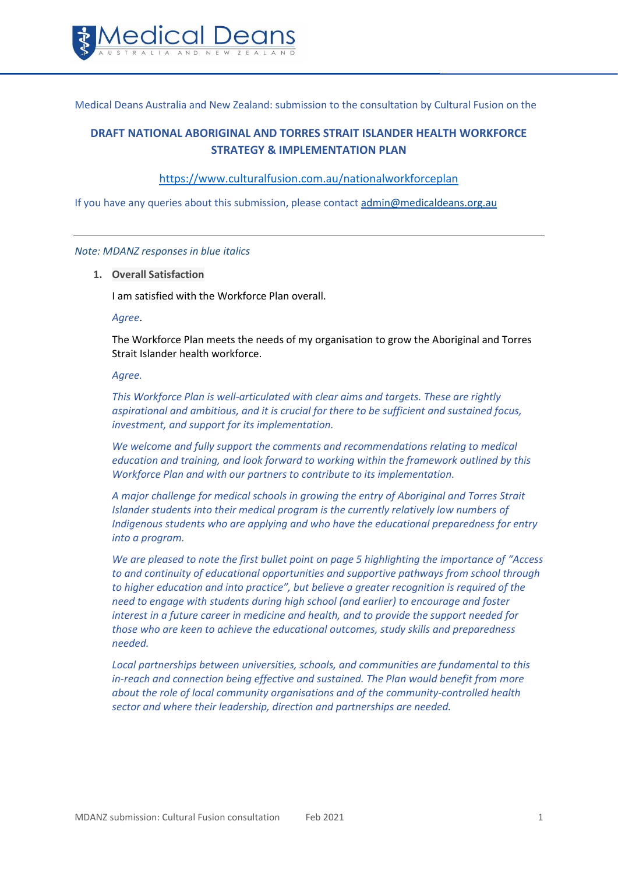

Medical Deans Australia and New Zealand: submission to the consultation by Cultural Fusion on the

# **DRAFT NATIONAL ABORIGINAL AND TORRES STRAIT ISLANDER HEALTH WORKFORCE STRATEGY & IMPLEMENTATION PLAN**

## <https://www.culturalfusion.com.au/nationalworkforceplan>

If you have any queries about this submission, please contact [admin@medicaldeans.org.au](mailto:admin@medicaldeans.org.au)

#### *Note: MDANZ responses in blue italics*

**1. Overall Satisfaction**

I am satisfied with the Workforce Plan overall.

#### *Agree*.

The Workforce Plan meets the needs of my organisation to grow the Aboriginal and Torres Strait Islander health workforce.

#### *Agree.*

*This Workforce Plan is well-articulated with clear aims and targets. These are rightly aspirational and ambitious, and it is crucial for there to be sufficient and sustained focus, investment, and support for its implementation.*

*We welcome and fully support the comments and recommendations relating to medical education and training, and look forward to working within the framework outlined by this Workforce Plan and with our partners to contribute to its implementation.*

*A major challenge for medical schools in growing the entry of Aboriginal and Torres Strait Islander students into their medical program is the currently relatively low numbers of Indigenous students who are applying and who have the educational preparedness for entry into a program.*

*We are pleased to note the first bullet point on page 5 highlighting the importance of "Access to and continuity of educational opportunities and supportive pathways from school through to higher education and into practice", but believe a greater recognition is required of the need to engage with students during high school (and earlier) to encourage and foster interest in a future career in medicine and health, and to provide the support needed for those who are keen to achieve the educational outcomes, study skills and preparedness needed.*

*Local partnerships between universities, schools, and communities are fundamental to this in-reach and connection being effective and sustained. The Plan would benefit from more about the role of local community organisations and of the community-controlled health sector and where their leadership, direction and partnerships are needed.*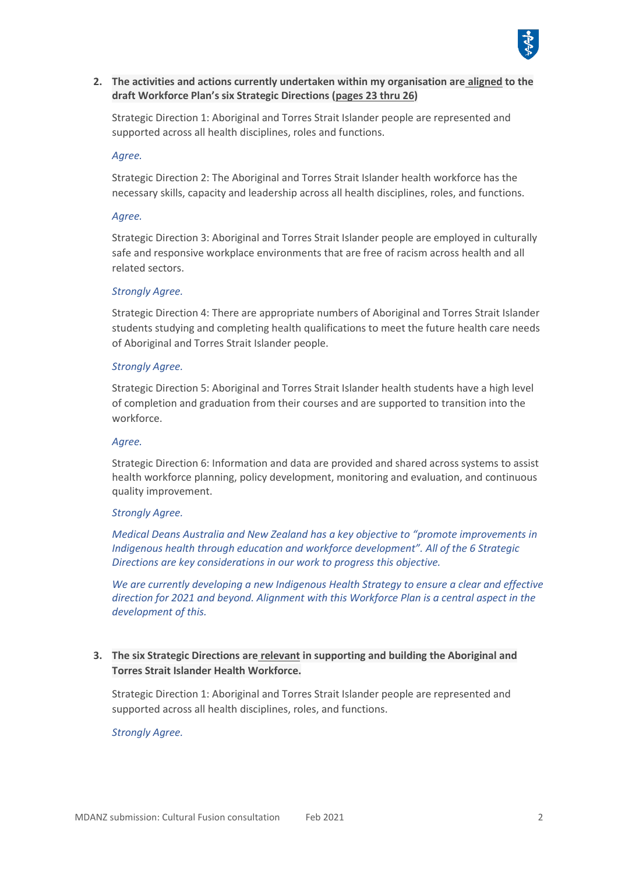

**2. The activities and actions currently undertaken within my organisation are aligned to the draft Workforce Plan's six Strategic Directions (pages 23 thru 26)**

Strategic Direction 1: Aboriginal and Torres Strait Islander people are represented and supported across all health disciplines, roles and functions.

### *Agree.*

Strategic Direction 2: The Aboriginal and Torres Strait Islander health workforce has the necessary skills, capacity and leadership across all health disciplines, roles, and functions.

### *Agree.*

Strategic Direction 3: Aboriginal and Torres Strait Islander people are employed in culturally safe and responsive workplace environments that are free of racism across health and all related sectors.

#### *Strongly Agree.*

Strategic Direction 4: There are appropriate numbers of Aboriginal and Torres Strait Islander students studying and completing health qualifications to meet the future health care needs of Aboriginal and Torres Strait Islander people.

### *Strongly Agree.*

Strategic Direction 5: Aboriginal and Torres Strait Islander health students have a high level of completion and graduation from their courses and are supported to transition into the workforce.

#### *Agree.*

Strategic Direction 6: Information and data are provided and shared across systems to assist health workforce planning, policy development, monitoring and evaluation, and continuous quality improvement.

#### *Strongly Agree.*

*Medical Deans Australia and New Zealand has a key objective to "promote improvements in Indigenous health through education and workforce development". All of the 6 Strategic Directions are key considerations in our work to progress this objective.*

*We are currently developing a new Indigenous Health Strategy to ensure a clear and effective direction for 2021 and beyond. Alignment with this Workforce Plan is a central aspect in the development of this.* 

# **3. The six Strategic Directions are relevant in supporting and building the Aboriginal and Torres Strait Islander Health Workforce.**

Strategic Direction 1: Aboriginal and Torres Strait Islander people are represented and supported across all health disciplines, roles, and functions.

### *Strongly Agree.*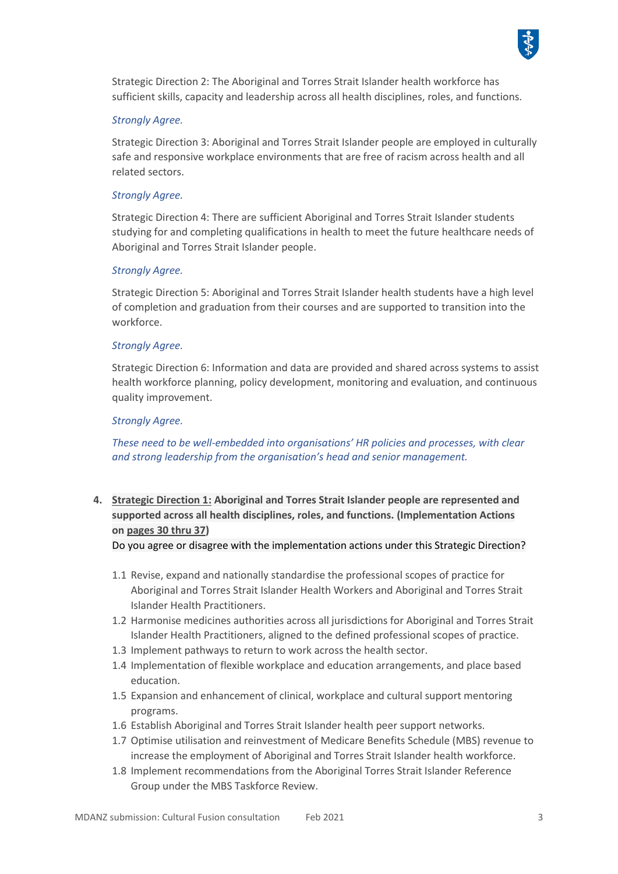

Strategic Direction 2: The Aboriginal and Torres Strait Islander health workforce has sufficient skills, capacity and leadership across all health disciplines, roles, and functions.

## *Strongly Agree.*

Strategic Direction 3: Aboriginal and Torres Strait Islander people are employed in culturally safe and responsive workplace environments that are free of racism across health and all related sectors.

## *Strongly Agree.*

Strategic Direction 4: There are sufficient Aboriginal and Torres Strait Islander students studying for and completing qualifications in health to meet the future healthcare needs of Aboriginal and Torres Strait Islander people.

# *Strongly Agree.*

Strategic Direction 5: Aboriginal and Torres Strait Islander health students have a high level of completion and graduation from their courses and are supported to transition into the workforce.

### *Strongly Agree.*

Strategic Direction 6: Information and data are provided and shared across systems to assist health workforce planning, policy development, monitoring and evaluation, and continuous quality improvement.

# *Strongly Agree.*

*These need to be well-embedded into organisations' HR policies and processes, with clear and strong leadership from the organisation's head and senior management.*

**4. Strategic Direction 1: Aboriginal and Torres Strait Islander people are represented and supported across all health disciplines, roles, and functions. (Implementation Actions on pages 30 thru 37)**

Do you agree or disagree with the implementation actions under this Strategic Direction?

- 1.1 Revise, expand and nationally standardise the professional scopes of practice for Aboriginal and Torres Strait Islander Health Workers and Aboriginal and Torres Strait Islander Health Practitioners.
- 1.2 Harmonise medicines authorities across all jurisdictions for Aboriginal and Torres Strait Islander Health Practitioners, aligned to the defined professional scopes of practice.
- 1.3 Implement pathways to return to work across the health sector.
- 1.4 Implementation of flexible workplace and education arrangements, and place based education.
- 1.5 Expansion and enhancement of clinical, workplace and cultural support mentoring programs.
- 1.6 Establish Aboriginal and Torres Strait Islander health peer support networks.
- 1.7 Optimise utilisation and reinvestment of Medicare Benefits Schedule (MBS) revenue to increase the employment of Aboriginal and Torres Strait Islander health workforce.
- 1.8 Implement recommendations from the Aboriginal Torres Strait Islander Reference Group under the MBS Taskforce Review.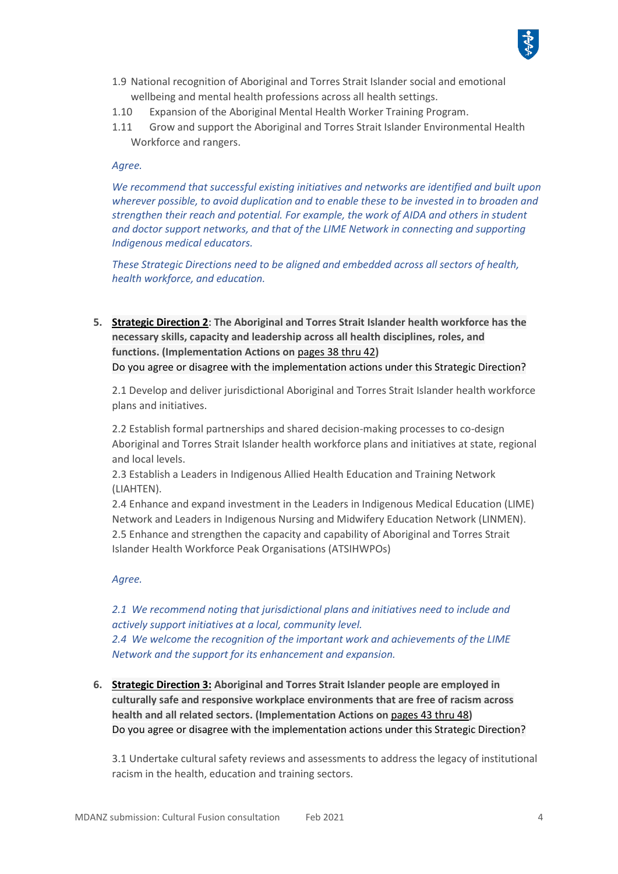

- 1.9 National recognition of Aboriginal and Torres Strait Islander social and emotional wellbeing and mental health professions across all health settings.
- 1.10 Expansion of the Aboriginal Mental Health Worker Training Program.
- 1.11 Grow and support the Aboriginal and Torres Strait Islander Environmental Health Workforce and rangers.

### *Agree.*

*We recommend that successful existing initiatives and networks are identified and built upon wherever possible, to avoid duplication and to enable these to be invested in to broaden and strengthen their reach and potential. For example, the work of AIDA and others in student and doctor support networks, and that of the LIME Network in connecting and supporting Indigenous medical educators.*

*These Strategic Directions need to be aligned and embedded across all sectors of health, health workforce, and education.*

**5. Strategic Direction 2**: **The Aboriginal and Torres Strait Islander health workforce has the necessary skills, capacity and leadership across all health disciplines, roles, and functions. (Implementation Actions on** pages 38 thru 42**)** Do you agree or disagree with the implementation actions under this Strategic Direction?

2.1 Develop and deliver jurisdictional Aboriginal and Torres Strait Islander health workforce plans and initiatives.

2.2 Establish formal partnerships and shared decision-making processes to co-design Aboriginal and Torres Strait Islander health workforce plans and initiatives at state, regional and local levels.

2.3 Establish a Leaders in Indigenous Allied Health Education and Training Network (LIAHTEN).

2.4 Enhance and expand investment in the Leaders in Indigenous Medical Education (LIME) Network and Leaders in Indigenous Nursing and Midwifery Education Network (LINMEN). 2.5 Enhance and strengthen the capacity and capability of Aboriginal and Torres Strait Islander Health Workforce Peak Organisations (ATSIHWPOs)

### *Agree.*

*2.1 We recommend noting that jurisdictional plans and initiatives need to include and actively support initiatives at a local, community level. 2.4 We welcome the recognition of the important work and achievements of the LIME Network and the support for its enhancement and expansion.*

**6. Strategic Direction 3: Aboriginal and Torres Strait Islander people are employed in culturally safe and responsive workplace environments that are free of racism across health and all related sectors. (Implementation Actions on** pages 43 thru 48**)** Do you agree or disagree with the implementation actions under this Strategic Direction?

3.1 Undertake cultural safety reviews and assessments to address the legacy of institutional racism in the health, education and training sectors.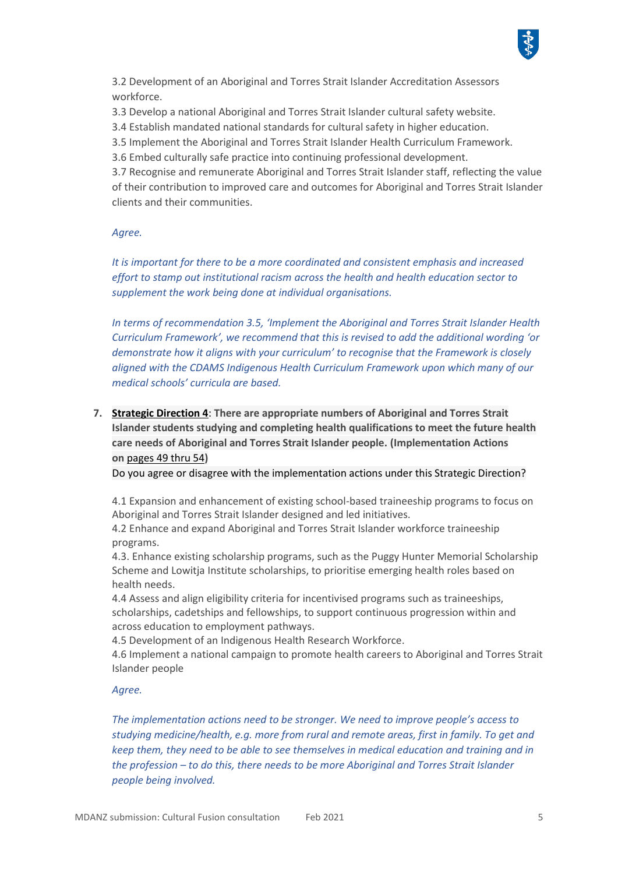

3.2 Development of an Aboriginal and Torres Strait Islander Accreditation Assessors workforce.

3.3 Develop a national Aboriginal and Torres Strait Islander cultural safety website.

3.4 Establish mandated national standards for cultural safety in higher education.

3.5 Implement the Aboriginal and Torres Strait Islander Health Curriculum Framework.

3.6 Embed culturally safe practice into continuing professional development.

3.7 Recognise and remunerate Aboriginal and Torres Strait Islander staff, reflecting the value of their contribution to improved care and outcomes for Aboriginal and Torres Strait Islander clients and their communities.

# *Agree.*

*It is important for there to be a more coordinated and consistent emphasis and increased effort to stamp out institutional racism across the health and health education sector to supplement the work being done at individual organisations.*

*In terms of recommendation 3.5, 'Implement the Aboriginal and Torres Strait Islander Health Curriculum Framework', we recommend that this is revised to add the additional wording 'or demonstrate how it aligns with your curriculum' to recognise that the Framework is closely aligned with the CDAMS Indigenous Health Curriculum Framework upon which many of our medical schools' curricula are based.*

**7. Strategic Direction 4**: **There are appropriate numbers of Aboriginal and Torres Strait Islander students studying and completing health qualifications to meet the future health care needs of Aboriginal and Torres Strait Islander people. (Implementation Actions on** pages 49 thru 54**)**

Do you agree or disagree with the implementation actions under this Strategic Direction?

4.1 Expansion and enhancement of existing school-based traineeship programs to focus on Aboriginal and Torres Strait Islander designed and led initiatives.

4.2 Enhance and expand Aboriginal and Torres Strait Islander workforce traineeship programs.

4.3. Enhance existing scholarship programs, such as the Puggy Hunter Memorial Scholarship Scheme and Lowitja Institute scholarships, to prioritise emerging health roles based on health needs.

4.4 Assess and align eligibility criteria for incentivised programs such as traineeships, scholarships, cadetships and fellowships, to support continuous progression within and across education to employment pathways.

4.5 Development of an Indigenous Health Research Workforce.

4.6 Implement a national campaign to promote health careers to Aboriginal and Torres Strait Islander people

# *Agree.*

*The implementation actions need to be stronger. We need to improve people's access to studying medicine/health, e.g. more from rural and remote areas, first in family. To get and keep them, they need to be able to see themselves in medical education and training and in the profession – to do this, there needs to be more Aboriginal and Torres Strait Islander people being involved.*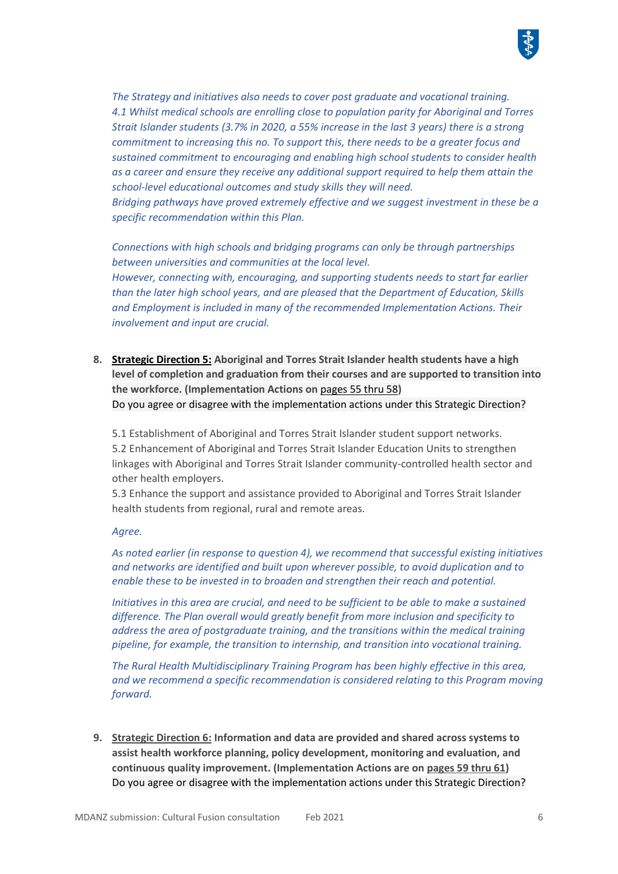

*Bridging pathways have proved extremely effective and we suggest investment in these be a specific recommendation within this Plan.*

*Connections with high schools and bridging programs can only be through partnerships between universities and communities at the local level.*

*However, connecting with, encouraging, and supporting students needs to start far earlier than the later high school years, and are pleased that the Department of Education, Skills and Employment is included in many of the recommended Implementation Actions. Their involvement and input are crucial.*

**8. Strategic Direction 5: Aboriginal and Torres Strait Islander health students have a high level of completion and graduation from their courses and are supported to transition into the workforce. (Implementation Actions on** pages 55 thru 58**)** Do you agree or disagree with the implementation actions under this Strategic Direction?

5.1 Establishment of Aboriginal and Torres Strait Islander student support networks. 5.2 Enhancement of Aboriginal and Torres Strait Islander Education Units to strengthen linkages with Aboriginal and Torres Strait Islander community-controlled health sector and other health employers.

5.3 Enhance the support and assistance provided to Aboriginal and Torres Strait Islander health students from regional, rural and remote areas.

#### *Agree.*

*As noted earlier (in response to question 4), we recommend that successful existing initiatives and networks are identified and built upon wherever possible, to avoid duplication and to enable these to be invested in to broaden and strengthen their reach and potential.*

*Initiatives in this area are crucial, and need to be sufficient to be able to make a sustained difference. The Plan overall would greatly benefit from more inclusion and specificity to address the area of postgraduate training, and the transitions within the medical training pipeline, for example, the transition to internship, and transition into vocational training.*

*The Rural Health Multidisciplinary Training Program has been highly effective in this area, and we recommend a specific recommendation is considered relating to this Program moving forward.*

**9. Strategic Direction 6: Information and data are provided and shared across systems to assist health workforce planning, policy development, monitoring and evaluation, and continuous quality improvement. (Implementation Actions are on pages 59 thru 61)** Do you agree or disagree with the implementation actions under this Strategic Direction?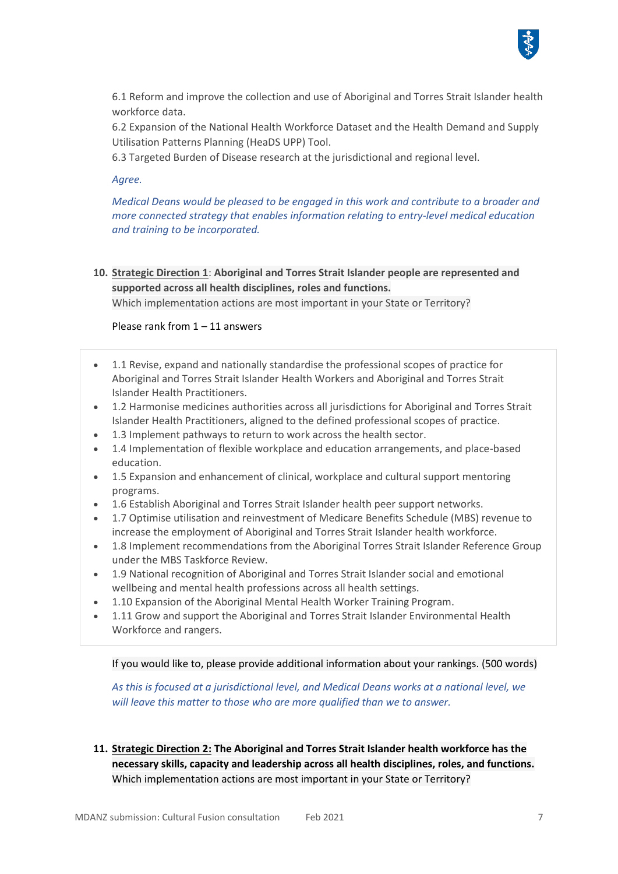

6.1 Reform and improve the collection and use of Aboriginal and Torres Strait Islander health workforce data.

6.2 Expansion of the National Health Workforce Dataset and the Health Demand and Supply Utilisation Patterns Planning (HeaDS UPP) Tool.

6.3 Targeted Burden of Disease research at the jurisdictional and regional level.

*Agree.*

*Medical Deans would be pleased to be engaged in this work and contribute to a broader and more connected strategy that enables information relating to entry-level medical education and training to be incorporated.*

**10. Strategic Direction 1**: **Aboriginal and Torres Strait Islander people are represented and supported across all health disciplines, roles and functions.** Which implementation actions are most important in your State or Territory?

### Please rank from 1 – 11 answers

- 1.1 Revise, expand and nationally standardise the professional scopes of practice for Aboriginal and Torres Strait Islander Health Workers and Aboriginal and Torres Strait Islander Health Practitioners.
- 1.2 Harmonise medicines authorities across all jurisdictions for Aboriginal and Torres Strait Islander Health Practitioners, aligned to the defined professional scopes of practice.
- 1.3 Implement pathways to return to work across the health sector.
- 1.4 Implementation of flexible workplace and education arrangements, and place-based education.
- 1.5 Expansion and enhancement of clinical, workplace and cultural support mentoring programs.
- 1.6 Establish Aboriginal and Torres Strait Islander health peer support networks.
- 1.7 Optimise utilisation and reinvestment of Medicare Benefits Schedule (MBS) revenue to increase the employment of Aboriginal and Torres Strait Islander health workforce.
- 1.8 Implement recommendations from the Aboriginal Torres Strait Islander Reference Group under the MBS Taskforce Review.
- 1.9 National recognition of Aboriginal and Torres Strait Islander social and emotional wellbeing and mental health professions across all health settings.
- 1.10 Expansion of the Aboriginal Mental Health Worker Training Program.
- 1.11 Grow and support the Aboriginal and Torres Strait Islander Environmental Health Workforce and rangers.

If you would like to, please provide additional information about your rankings. (500 words)

*As this is focused at a jurisdictional level, and Medical Deans works at a national level, we will leave this matter to those who are more qualified than we to answer.*

**11. Strategic Direction 2: The Aboriginal and Torres Strait Islander health workforce has the necessary skills, capacity and leadership across all health disciplines, roles, and functions.** Which implementation actions are most important in your State or Territory?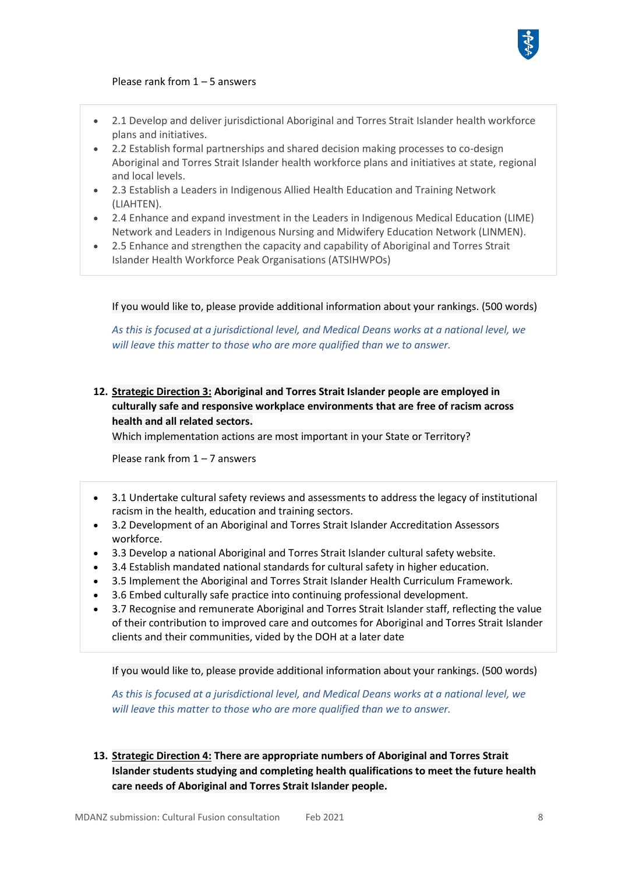

### Please rank from 1 – 5 answers

- 2.1 Develop and deliver jurisdictional Aboriginal and Torres Strait Islander health workforce plans and initiatives.
- 2.2 Establish formal partnerships and shared decision making processes to co-design Aboriginal and Torres Strait Islander health workforce plans and initiatives at state, regional and local levels.
- 2.3 Establish a Leaders in Indigenous Allied Health Education and Training Network (LIAHTEN).
- 2.4 Enhance and expand investment in the Leaders in Indigenous Medical Education (LIME) Network and Leaders in Indigenous Nursing and Midwifery Education Network (LINMEN).
- 2.5 Enhance and strengthen the capacity and capability of Aboriginal and Torres Strait Islander Health Workforce Peak Organisations (ATSIHWPOs)

If you would like to, please provide additional information about your rankings. (500 words)

*As this is focused at a jurisdictional level, and Medical Deans works at a national level, we will leave this matter to those who are more qualified than we to answer.*

**12. Strategic Direction 3: Aboriginal and Torres Strait Islander people are employed in culturally safe and responsive workplace environments that are free of racism across health and all related sectors.**

Which implementation actions are most important in your State or Territory?

Please rank from 1 – 7 answers

- 3.1 Undertake cultural safety reviews and assessments to address the legacy of institutional racism in the health, education and training sectors.
- 3.2 Development of an Aboriginal and Torres Strait Islander Accreditation Assessors workforce.
- 3.3 Develop a national Aboriginal and Torres Strait Islander cultural safety website.
- 3.4 Establish mandated national standards for cultural safety in higher education.
- 3.5 Implement the Aboriginal and Torres Strait Islander Health Curriculum Framework.
- 3.6 Embed culturally safe practice into continuing professional development.
- 3.7 Recognise and remunerate Aboriginal and Torres Strait Islander staff, reflecting the value of their contribution to improved care and outcomes for Aboriginal and Torres Strait Islander clients and their communities, vided by the DOH at a later date

If you would like to, please provide additional information about your rankings. (500 words)

*As this is focused at a jurisdictional level, and Medical Deans works at a national level, we will leave this matter to those who are more qualified than we to answer.*

# **13. Strategic Direction 4: There are appropriate numbers of Aboriginal and Torres Strait Islander students studying and completing health qualifications to meet the future health care needs of Aboriginal and Torres Strait Islander people.**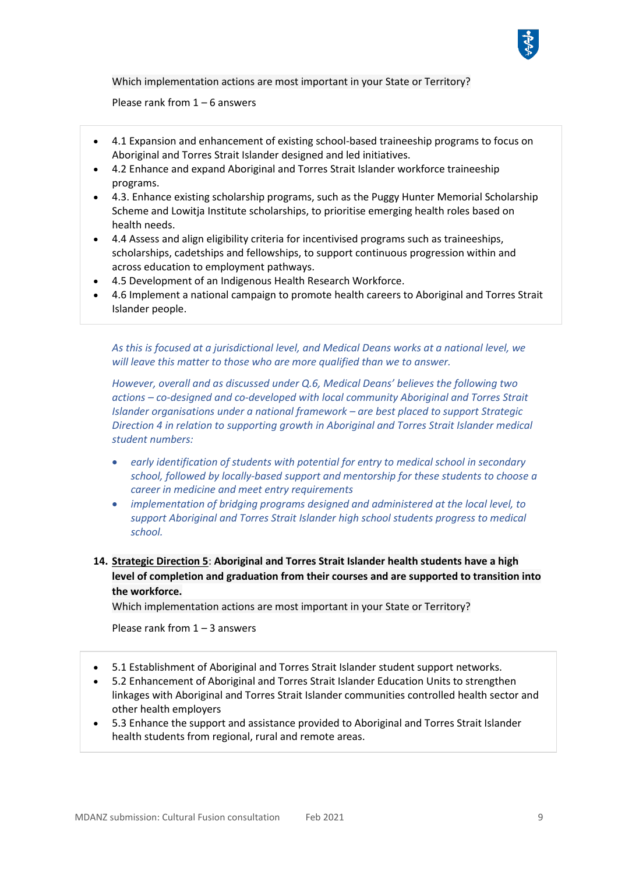

Which implementation actions are most important in your State or Territory?

Please rank from 1 – 6 answers

- 4.1 Expansion and enhancement of existing school-based traineeship programs to focus on Aboriginal and Torres Strait Islander designed and led initiatives.
- 4.2 Enhance and expand Aboriginal and Torres Strait Islander workforce traineeship programs.
- 4.3. Enhance existing scholarship programs, such as the Puggy Hunter Memorial Scholarship Scheme and Lowitja Institute scholarships, to prioritise emerging health roles based on health needs.
- 4.4 Assess and align eligibility criteria for incentivised programs such as traineeships, scholarships, cadetships and fellowships, to support continuous progression within and across education to employment pathways.
- 4.5 Development of an Indigenous Health Research Workforce.
- 4.6 Implement a national campaign to promote health careers to Aboriginal and Torres Strait Islander people.

*As this is focused at a jurisdictional level, and Medical Deans works at a national level, we will leave this matter to those who are more qualified than we to answer.*

*However, overall and as discussed under Q.6, Medical Deans' believes the following two actions – co-designed and co-developed with local community Aboriginal and Torres Strait Islander organisations under a national framework – are best placed to support Strategic Direction 4 in relation to supporting growth in Aboriginal and Torres Strait Islander medical student numbers:*

- *early identification of students with potential for entry to medical school in secondary school, followed by locally-based support and mentorship for these students to choose a career in medicine and meet entry requirements*
- *implementation of bridging programs designed and administered at the local level, to support Aboriginal and Torres Strait Islander high school students progress to medical school.*
- **14. Strategic Direction 5**: **Aboriginal and Torres Strait Islander health students have a high level of completion and graduation from their courses and are supported to transition into the workforce.**

Which implementation actions are most important in your State or Territory?

Please rank from 1 – 3 answers

- 5.1 Establishment of Aboriginal and Torres Strait Islander student support networks.
- 5.2 Enhancement of Aboriginal and Torres Strait Islander Education Units to strengthen linkages with Aboriginal and Torres Strait Islander communities controlled health sector and other health employers
- 5.3 Enhance the support and assistance provided to Aboriginal and Torres Strait Islander health students from regional, rural and remote areas.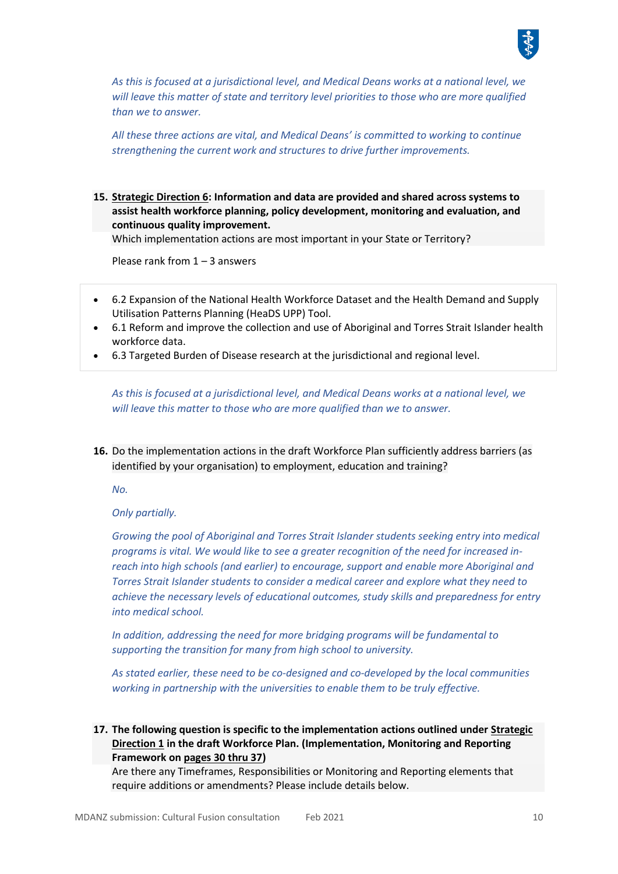

*As this is focused at a jurisdictional level, and Medical Deans works at a national level, we will leave this matter of state and territory level priorities to those who are more qualified than we to answer.*

*All these three actions are vital, and Medical Deans' is committed to working to continue strengthening the current work and structures to drive further improvements.*

**15. Strategic Direction 6: Information and data are provided and shared across systems to assist health workforce planning, policy development, monitoring and evaluation, and continuous quality improvement.**

Which implementation actions are most important in your State or Territory?

Please rank from 1 – 3 answers

- 6.2 Expansion of the National Health Workforce Dataset and the Health Demand and Supply Utilisation Patterns Planning (HeaDS UPP) Tool.
- 6.1 Reform and improve the collection and use of Aboriginal and Torres Strait Islander health workforce data.
- 6.3 Targeted Burden of Disease research at the jurisdictional and regional level.

*As this is focused at a jurisdictional level, and Medical Deans works at a national level, we will leave this matter to those who are more qualified than we to answer.*

**16.** Do the implementation actions in the draft Workforce Plan sufficiently address barriers (as identified by your organisation) to employment, education and training?

*No.*

### *Only partially.*

*Growing the pool of Aboriginal and Torres Strait Islander students seeking entry into medical programs is vital. We would like to see a greater recognition of the need for increased inreach into high schools (and earlier) to encourage, support and enable more Aboriginal and Torres Strait Islander students to consider a medical career and explore what they need to achieve the necessary levels of educational outcomes, study skills and preparedness for entry into medical school.*

*In addition, addressing the need for more bridging programs will be fundamental to supporting the transition for many from high school to university.*

*As stated earlier, these need to be co-designed and co-developed by the local communities working in partnership with the universities to enable them to be truly effective.*

**17. The following question is specific to the implementation actions outlined under Strategic Direction 1 in the draft Workforce Plan. (Implementation, Monitoring and Reporting Framework on pages 30 thru 37)**

Are there any Timeframes, Responsibilities or Monitoring and Reporting elements that require additions or amendments? Please include details below.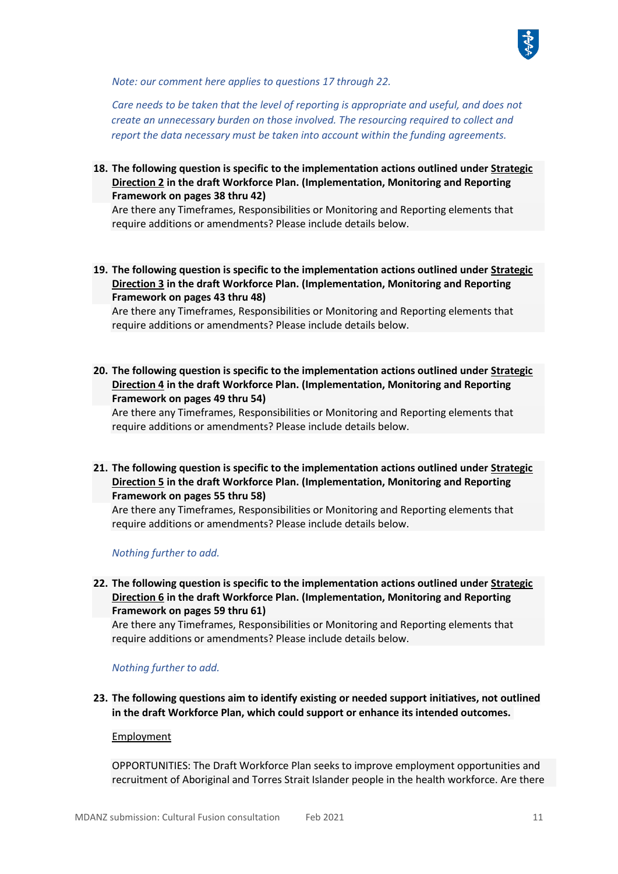

*Note: our comment here applies to questions 17 through 22.*

*Care needs to be taken that the level of reporting is appropriate and useful, and does not create an unnecessary burden on those involved. The resourcing required to collect and report the data necessary must be taken into account within the funding agreements.*

**18. The following question is specific to the implementation actions outlined under Strategic Direction 2 in the draft Workforce Plan. (Implementation, Monitoring and Reporting Framework on pages 38 thru 42)**

Are there any Timeframes, Responsibilities or Monitoring and Reporting elements that require additions or amendments? Please include details below.

**19. The following question is specific to the implementation actions outlined under Strategic Direction 3 in the draft Workforce Plan. (Implementation, Monitoring and Reporting Framework on pages 43 thru 48)**

Are there any Timeframes, Responsibilities or Monitoring and Reporting elements that require additions or amendments? Please include details below.

**20. The following question is specific to the implementation actions outlined under Strategic Direction 4 in the draft Workforce Plan. (Implementation, Monitoring and Reporting Framework on pages 49 thru 54)**

Are there any Timeframes, Responsibilities or Monitoring and Reporting elements that require additions or amendments? Please include details below.

**21. The following question is specific to the implementation actions outlined under Strategic Direction 5 in the draft Workforce Plan. (Implementation, Monitoring and Reporting Framework on pages 55 thru 58)**

Are there any Timeframes, Responsibilities or Monitoring and Reporting elements that require additions or amendments? Please include details below.

*Nothing further to add.*

**22. The following question is specific to the implementation actions outlined under Strategic Direction 6 in the draft Workforce Plan. (Implementation, Monitoring and Reporting Framework on pages 59 thru 61)**

Are there any Timeframes, Responsibilities or Monitoring and Reporting elements that require additions or amendments? Please include details below.

#### *Nothing further to add.*

**23. The following questions aim to identify existing or needed support initiatives, not outlined in the draft Workforce Plan, which could support or enhance its intended outcomes.**

#### Employment

OPPORTUNITIES: The Draft Workforce Plan seeks to improve employment opportunities and recruitment of Aboriginal and Torres Strait Islander people in the health workforce. Are there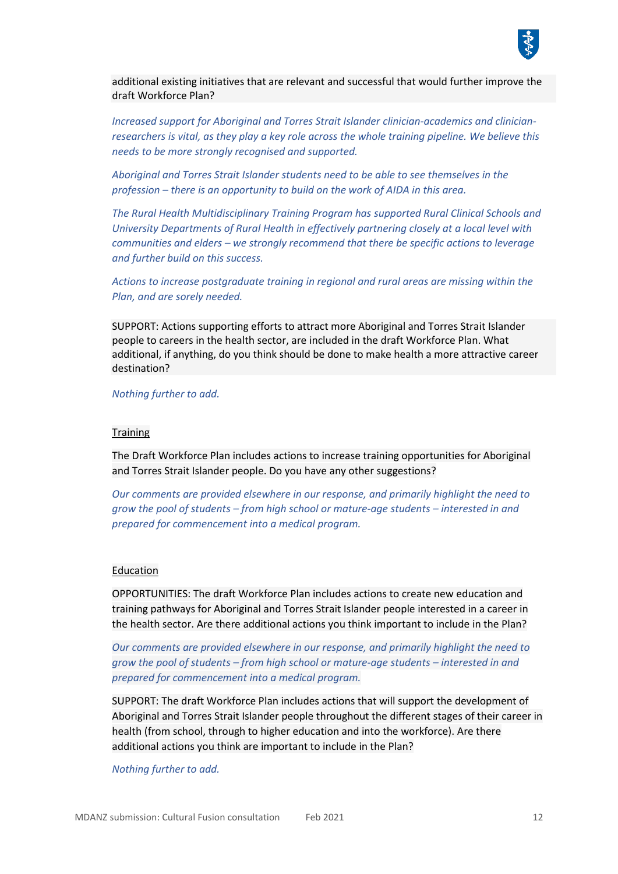

additional existing initiatives that are relevant and successful that would further improve the draft Workforce Plan?

*Increased support for Aboriginal and Torres Strait Islander clinician-academics and clinicianresearchers is vital, as they play a key role across the whole training pipeline. We believe this needs to be more strongly recognised and supported.*

*Aboriginal and Torres Strait Islander students need to be able to see themselves in the profession – there is an opportunity to build on the work of AIDA in this area.*

*The Rural Health Multidisciplinary Training Program has supported Rural Clinical Schools and University Departments of Rural Health in effectively partnering closely at a local level with communities and elders – we strongly recommend that there be specific actions to leverage and further build on this success.*

*Actions to increase postgraduate training in regional and rural areas are missing within the Plan, and are sorely needed.*

SUPPORT: Actions supporting efforts to attract more Aboriginal and Torres Strait Islander people to careers in the health sector, are included in the draft Workforce Plan. What additional, if anything, do you think should be done to make health a more attractive career destination?

### *Nothing further to add.*

#### **Training**

The Draft Workforce Plan includes actions to increase training opportunities for Aboriginal and Torres Strait Islander people. Do you have any other suggestions?

*Our comments are provided elsewhere in our response, and primarily highlight the need to grow the pool of students – from high school or mature-age students – interested in and prepared for commencement into a medical program.*

#### Education

OPPORTUNITIES: The draft Workforce Plan includes actions to create new education and training pathways for Aboriginal and Torres Strait Islander people interested in a career in the health sector. Are there additional actions you think important to include in the Plan?

*Our comments are provided elsewhere in our response, and primarily highlight the need to grow the pool of students – from high school or mature-age students – interested in and prepared for commencement into a medical program.*

SUPPORT: The draft Workforce Plan includes actions that will support the development of Aboriginal and Torres Strait Islander people throughout the different stages of their career in health (from school, through to higher education and into the workforce). Are there additional actions you think are important to include in the Plan?

*Nothing further to add.*